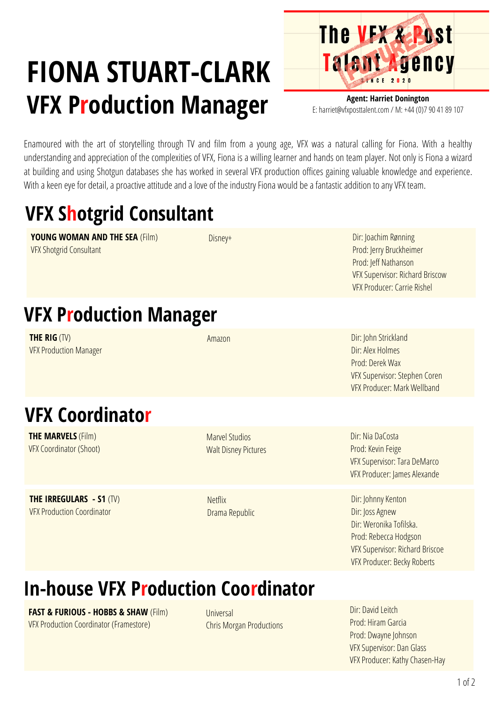# **FIONA STUART-CLARK VFX Production Manager**



**Agent: Harriet Donington** E: harriet@vfxposttalent.com / M:+44(0)7904189107

Enamoured with the art of storytelling through TV and film from a young age, VFX was a natural calling for Fiona. With a healthy understanding and appreciation of the complexities of VFX, Fiona is a willing learner and hands on team player. Not only is Fiona a wizard at building and using Shotgun databases she has worked in several VFX production offices gaining valuable knowledge and experience. With a keen eye for detail, a proactive attitude and a love of the industry Fiona would be a fantastic addition to any VFX team.

## **VFX Shotgrid Consultant**

**YOUNG WOMAN AND THE SEA** (Film) VFX Shotgrid Consultant

Disney+

Dir: Joachim Rønning Prod: Jerry [Bruckheimer](https://pro.imdb.com/name/nm0000988/?ref_=tt_fm_prodr) Prod: Jeff [Nathanson](https://pro.imdb.com/name/nm0622288/?ref_=tt_fm_prodr) VFX Supervisor: Richard Briscow VFX Producer: Carrie Rishel

### **VFX Production Manager**

**THE RIG** (TV) VFX Production Manager

**THE MARVELS** (Film) VFX Coordinator (Shoot)

**THE IRREGULARS - S1** (TV) VFX Production Coordinator

**VFX Coordinator**

Amazon

**Marvel Studios** Walt Disney Pictures

**Netflix** 

Drama Republic

Dir: John Strickland Dir:Alex Holmes Prod: Derek Wax VFX Supervisor: Stephen Coren VFX Producer: Mark Wellband

Dir: Nia DaCosta Prod: Kevin Feige VFX Supervisor: Tara DeMarco VFX Producer: James Alexande

Dir: Johnny Kenton Dir: Joss Agnew Dir: Weronika Tofilska. Prod: Rebecca Hodgson VFX Supervisor: Richard Briscoe VFX Producer: Becky Roberts

### **In-house VFX Production Coordinator**

**FAST & FURIOUS - HOBBS & SHAW** (Film) VFX Production Coordinator (Framestore)

Universal Chris Morgan [Productions](https://pro.imdb.com/company/co0353093/)

Dir: David Leitch Prod: Hiram [Garcia](https://pro.imdb.com/name/nm1205652/) Prod: Dwayne Johnson VFX Supervisor: Dan Glass VFX Producer: Kathy Chasen-Hay